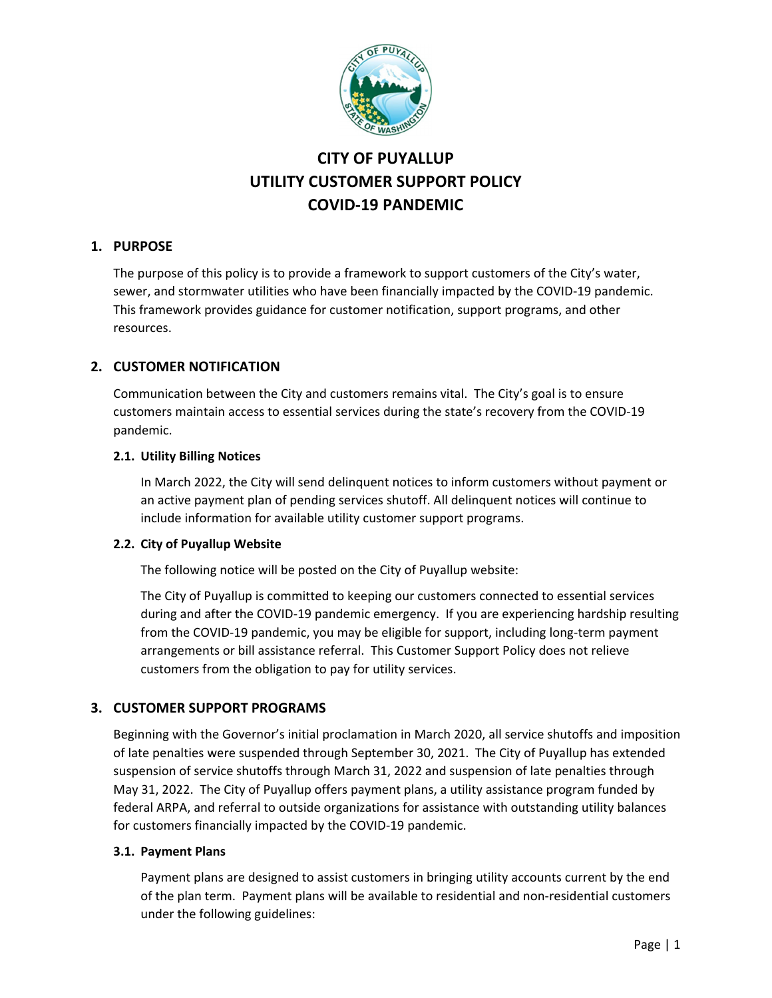

# **CITY OF PUYALLUP UTILITY CUSTOMER SUPPORT POLICY COVID‐19 PANDEMIC**

## **1. PURPOSE**

The purpose of this policy is to provide a framework to support customers of the City's water, sewer, and stormwater utilities who have been financially impacted by the COVID‐19 pandemic. This framework provides guidance for customer notification, support programs, and other resources.

# **2. CUSTOMER NOTIFICATION**

Communication between the City and customers remains vital. The City's goal is to ensure customers maintain access to essential services during the state's recovery from the COVID‐19 pandemic.

## **2.1. Utility Billing Notices**

In March 2022, the City will send delinquent notices to inform customers without payment or an active payment plan of pending services shutoff. All delinquent notices will continue to include information for available utility customer support programs.

## **2.2. City of Puyallup Website**

The following notice will be posted on the City of Puyallup website:

The City of Puyallup is committed to keeping our customers connected to essential services during and after the COVID‐19 pandemic emergency. If you are experiencing hardship resulting from the COVID-19 pandemic, you may be eligible for support, including long-term payment arrangements or bill assistance referral. This Customer Support Policy does not relieve customers from the obligation to pay for utility services.

## **3. CUSTOMER SUPPORT PROGRAMS**

Beginning with the Governor's initial proclamation in March 2020, all service shutoffs and imposition of late penalties were suspended through September 30, 2021. The City of Puyallup has extended suspension of service shutoffs through March 31, 2022 and suspension of late penalties through May 31, 2022. The City of Puyallup offers payment plans, a utility assistance program funded by federal ARPA, and referral to outside organizations for assistance with outstanding utility balances for customers financially impacted by the COVID‐19 pandemic.

#### **3.1. Payment Plans**

Payment plans are designed to assist customers in bringing utility accounts current by the end of the plan term. Payment plans will be available to residential and non‐residential customers under the following guidelines: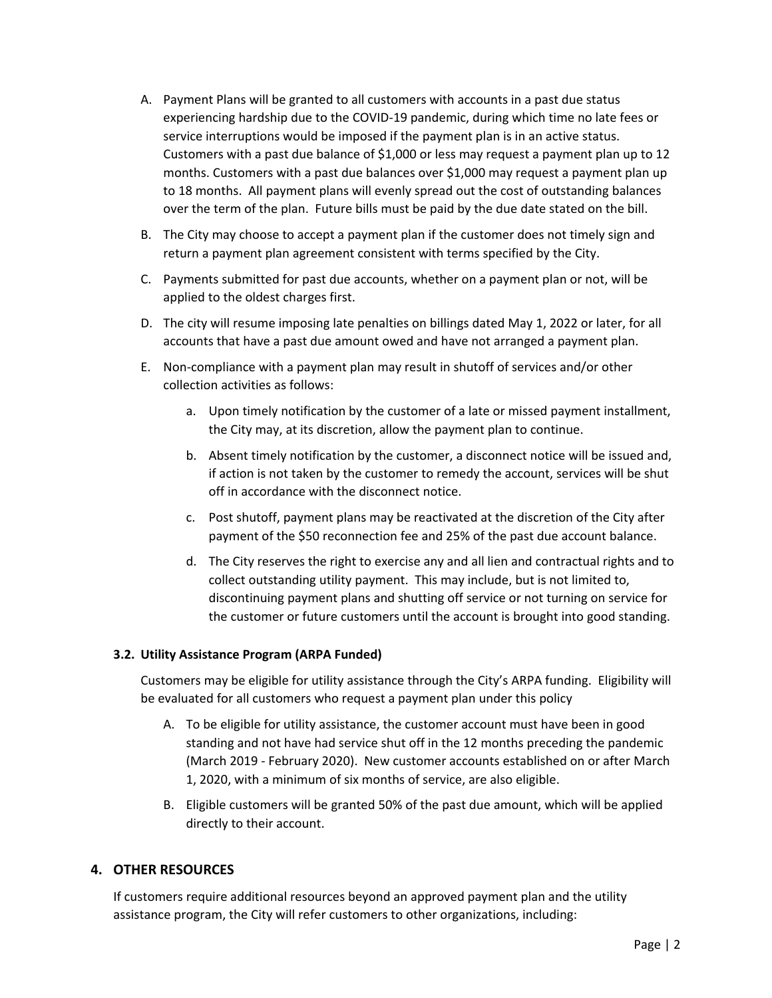- A. Payment Plans will be granted to all customers with accounts in a past due status experiencing hardship due to the COVID‐19 pandemic, during which time no late fees or service interruptions would be imposed if the payment plan is in an active status. Customers with a past due balance of \$1,000 or less may request a payment plan up to 12 months. Customers with a past due balances over \$1,000 may request a payment plan up to 18 months. All payment plans will evenly spread out the cost of outstanding balances over the term of the plan. Future bills must be paid by the due date stated on the bill.
- B. The City may choose to accept a payment plan if the customer does not timely sign and return a payment plan agreement consistent with terms specified by the City.
- C. Payments submitted for past due accounts, whether on a payment plan or not, will be applied to the oldest charges first.
- D. The city will resume imposing late penalties on billings dated May 1, 2022 or later, for all accounts that have a past due amount owed and have not arranged a payment plan.
- E. Non‐compliance with a payment plan may result in shutoff of services and/or other collection activities as follows:
	- a. Upon timely notification by the customer of a late or missed payment installment, the City may, at its discretion, allow the payment plan to continue.
	- b. Absent timely notification by the customer, a disconnect notice will be issued and, if action is not taken by the customer to remedy the account, services will be shut off in accordance with the disconnect notice.
	- c. Post shutoff, payment plans may be reactivated at the discretion of the City after payment of the \$50 reconnection fee and 25% of the past due account balance.
	- d. The City reserves the right to exercise any and all lien and contractual rights and to collect outstanding utility payment. This may include, but is not limited to, discontinuing payment plans and shutting off service or not turning on service for the customer or future customers until the account is brought into good standing.

#### **3.2. Utility Assistance Program (ARPA Funded)**

Customers may be eligible for utility assistance through the City's ARPA funding. Eligibility will be evaluated for all customers who request a payment plan under this policy

- A. To be eligible for utility assistance, the customer account must have been in good standing and not have had service shut off in the 12 months preceding the pandemic (March 2019 ‐ February 2020). New customer accounts established on or after March 1, 2020, with a minimum of six months of service, are also eligible.
- B. Eligible customers will be granted 50% of the past due amount, which will be applied directly to their account.

## **4. OTHER RESOURCES**

If customers require additional resources beyond an approved payment plan and the utility assistance program, the City will refer customers to other organizations, including: